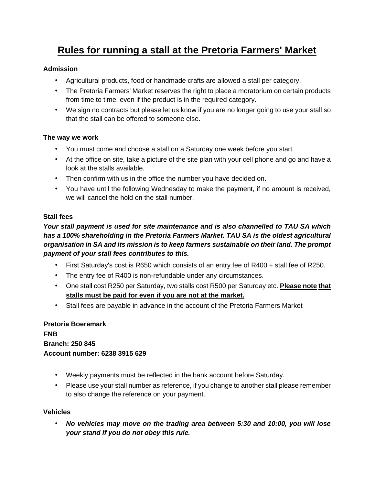# **Rules for running a stall at the Pretoria Farmers' Market**

#### **Admission**

- Agricultural products, food or handmade crafts are allowed a stall per category.
- The Pretoria Farmers' Market reserves the right to place a moratorium on certain products from time to time, even if the product is in the required category.
- We sign no contracts but please let us know if you are no longer going to use your stall so that the stall can be offered to someone else.

#### **The way we work**

- You must come and choose a stall on a Saturday one week before you start.
- At the office on site, take a picture of the site plan with your cell phone and go and have a look at the stalls available.
- Then confirm with us in the office the number you have decided on.
- You have until the following Wednesday to make the payment, if no amount is received, we will cancel the hold on the stall number.

#### **Stall fees**

*Your stall payment is used for site maintenance and is also channelled to TAU SA which has a 100% shareholding in the Pretoria Farmers Market. TAU SA is the oldest agricultural organisation in SA and its mission is to keep farmers sustainable on their land. The prompt payment of your stall fees contributes to this.* 

- First Saturday's cost is R650 which consists of an entry fee of R400 + stall fee of R250.
- The entry fee of R400 is non-refundable under any circumstances.
- One stall cost R250 per Saturday, two stalls cost R500 per Saturday etc. **Please note that stalls must be paid for even if you are not at the market.**
- Stall fees are payable in advance in the account of the Pretoria Farmers Market

#### **Pretoria Boeremark FNB Branch: 250 845 Account number: 6238 3915 629**

- Weekly payments must be reflected in the bank account before Saturday.
- Please use your stall number as reference, if you change to another stall please remember to also change the reference on your payment.

#### **Vehicles**

• *No vehicles may move on the trading area between 5:30 and 10:00, you will lose your stand if you do not obey this rule.*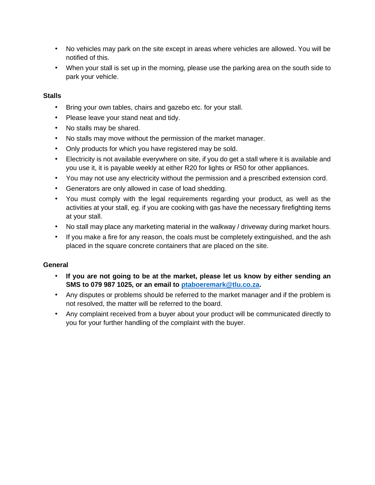- No vehicles may park on the site except in areas where vehicles are allowed. You will be notified of this.
- When your stall is set up in the morning, please use the parking area on the south side to park your vehicle.

#### **Stalls**

- Bring your own tables, chairs and gazebo etc. for your stall.
- Please leave your stand neat and tidy.
- No stalls may be shared.
- No stalls may move without the permission of the market manager.
- Only products for which you have registered may be sold.
- Electricity is not available everywhere on site, if you do get a stall where it is available and you use it, it is payable weekly at either R20 for lights or R50 for other appliances.
- You may not use any electricity without the permission and a prescribed extension cord.
- Generators are only allowed in case of load shedding.
- You must comply with the legal requirements regarding your product, as well as the activities at your stall, eg. if you are cooking with gas have the necessary firefighting items at your stall.
- No stall may place any marketing material in the walkway / driveway during market hours.
- If you make a fire for any reason, the coals must be completely extinguished, and the ash placed in the square concrete containers that are placed on the site.

#### **General**

- **If you are not going to be at the market, please let us know by either sending an SMS to 079 987 1025, or an email to ptaboeremark@tlu.co.za.**
- Any disputes or problems should be referred to the market manager and if the problem is not resolved, the matter will be referred to the board.
- Any complaint received from a buyer about your product will be communicated directly to you for your further handling of the complaint with the buyer.